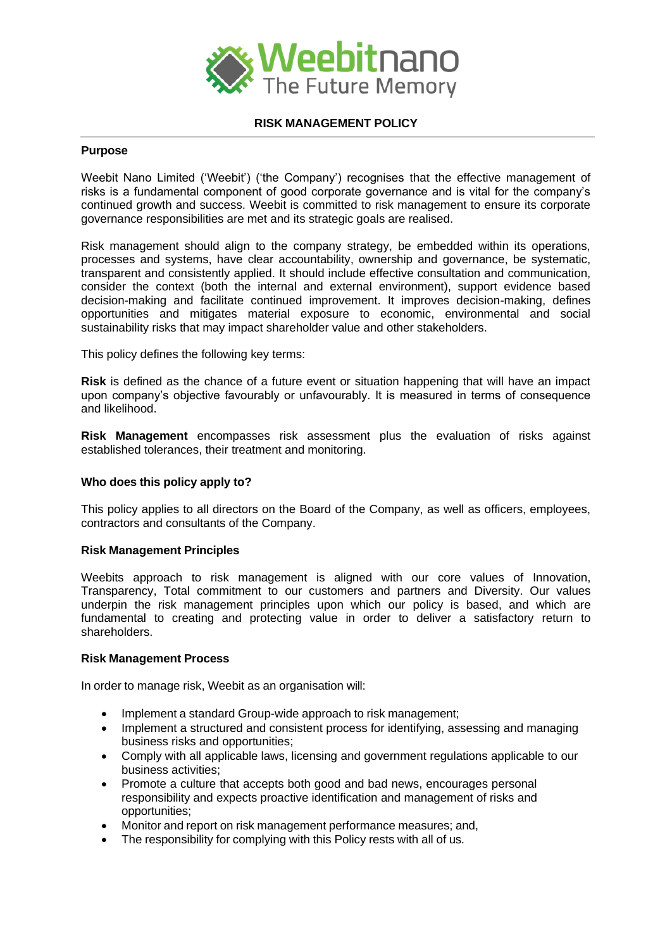

### **RISK MANAGEMENT POLICY**

# **Purpose**

Weebit Nano Limited ('Weebit') ('the Company') recognises that the effective management of risks is a fundamental component of good corporate governance and is vital for the company's continued growth and success. Weebit is committed to risk management to ensure its corporate governance responsibilities are met and its strategic goals are realised.

Risk management should align to the company strategy, be embedded within its operations, processes and systems, have clear accountability, ownership and governance, be systematic, transparent and consistently applied. It should include effective consultation and communication, consider the context (both the internal and external environment), support evidence based decision-making and facilitate continued improvement. It improves decision-making, defines opportunities and mitigates material exposure to economic, environmental and social sustainability risks that may impact shareholder value and other stakeholders.

This policy defines the following key terms:

**Risk** is defined as the chance of a future event or situation happening that will have an impact upon company's objective favourably or unfavourably. It is measured in terms of consequence and likelihood.

**Risk Management** encompasses risk assessment plus the evaluation of risks against established tolerances, their treatment and monitoring.

## **Who does this policy apply to?**

This policy applies to all directors on the Board of the Company, as well as officers, employees, contractors and consultants of the Company.

#### **Risk Management Principles**

Weebits approach to risk management is aligned with our core values of Innovation, Transparency, Total commitment to our customers and partners and Diversity. Our values underpin the risk management principles upon which our policy is based, and which are fundamental to creating and protecting value in order to deliver a satisfactory return to shareholders.

#### **Risk Management Process**

In order to manage risk, Weebit as an organisation will:

- Implement a standard Group-wide approach to risk management;
- Implement a structured and consistent process for identifying, assessing and managing business risks and opportunities;
- Comply with all applicable laws, licensing and government regulations applicable to our business activities;
- Promote a culture that accepts both good and bad news, encourages personal responsibility and expects proactive identification and management of risks and opportunities;
- Monitor and report on risk management performance measures; and,
- The responsibility for complying with this Policy rests with all of us.